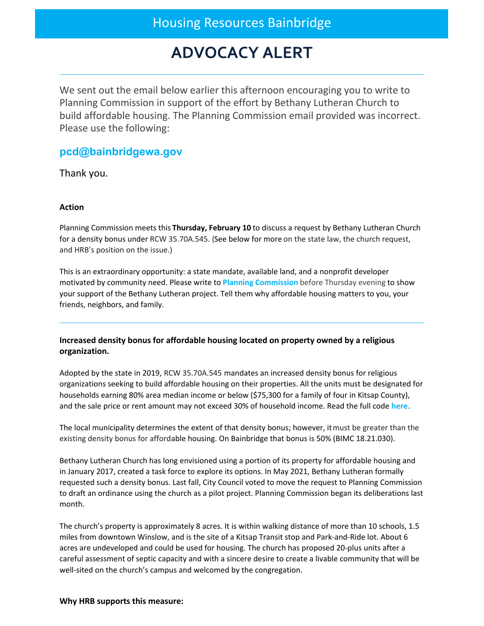## Housing Resources Bainbridge

# **ADVOCACY ALERT**

We sent out the email below earlier this afternoon encouraging you to write to Planning Commission in support of the effort by Bethany Lutheran Church to build affordable housing. The Planning Commission email provided was incorrect. Please use the following:

### **[pcd@bainbridgewa.gov](mailto:pcd@bainbridgewa.gov)**

Thank you.

#### **Action**

Planning Commission meets this **Thursday, February 10** to discuss a request by Bethany Lutheran Church for a density bonus under RCW 35.70A.545. (See below for more on the state law, the church request, and HRB's position on the issue.)

This is an extraordinary opportunity: a state mandate, available land, and a nonprofit developer motivated by community need. Please write to **Planning [Commission](mailto:pcd@bainbridgewa.gov)** before Thursday evening to show your support of the Bethany Lutheran project. Tell them why affordable housing matters to you, your friends, neighbors, and family.

#### **Increased density bonus for affordable housing located on property owned by a religious organization.**

Adopted by the state in 2019, RCW 35.70A.545 mandates an increased density bonus for religious organizations seeking to build affordable housing on their properties. All the units must be designated for households earning 80% area median income or below (\$75,300 for a family of four in Kitsap County), and the sale price or rent amount may not exceed 30% of household income. Read the full code **[here](https://app.leg.wa.gov/RCW/default.aspx?cite=36.70A.545)**.

The local municipality determines the extent of that density bonus; however, itmust be greater than the existing density bonus for affordable housing. On Bainbridge that bonus is 50% (BIMC 18.21.030).

Bethany Lutheran Church has long envisioned using a portion of its property for affordable housing and in January 2017, created a task force to explore its options. In May 2021, Bethany Lutheran formally requested such a density bonus. Last fall, City Council voted to move the request to Planning Commission to draft an ordinance using the church as a pilot project. Planning Commission began its deliberations last month.

The church's property is approximately 8 acres. It is within walking distance of more than 10 schools, 1.5 miles from downtown Winslow, and is the site of a Kitsap Transit stop and Park-and-Ride lot. About 6 acres are undeveloped and could be used for housing. The church has proposed 20-plus units after a careful assessment of septic capacity and with a sincere desire to create a livable community that will be well-sited on the church's campus and welcomed by the congregation.

#### **Why HRB supports this measure:**